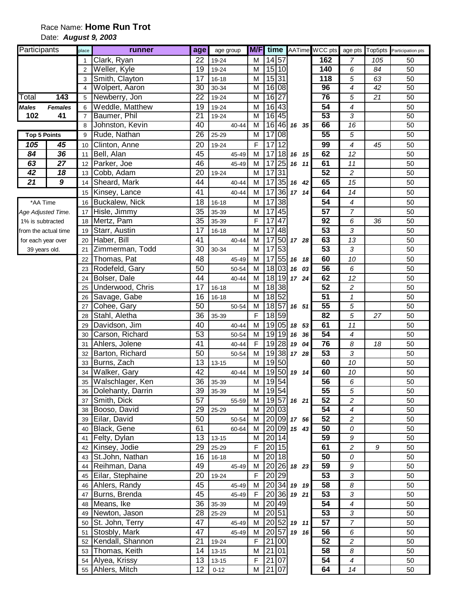# Race Name: **Home Run Trot**

Date: **August 9, 2003** 

| Participants         |                | place                   | runner              | age             | age group |                         |                       |                | <b>M/F</b> time AATime WCC pts |                          |     | age pts Top5pts Participation pts |
|----------------------|----------------|-------------------------|---------------------|-----------------|-----------|-------------------------|-----------------------|----------------|--------------------------------|--------------------------|-----|-----------------------------------|
|                      |                | 1                       | Clark, Ryan         | 22              | 19-24     | M                       | 14 57                 |                | 162                            | 7                        | 105 | 50                                |
|                      |                | $\overline{2}$          | Weller, Kyle        | 19              | 19-24     | M                       | 15 10                 |                | 140                            | 6                        | 84  | 50                                |
|                      |                | 3                       | Smith, Clayton      | 17              | $16 - 18$ | M                       | 15 31                 |                | 118                            | 5                        | 63  | 50                                |
|                      |                | $\overline{\mathbf{4}}$ | Wolpert, Aaron      | $\overline{30}$ | 30-34     | M                       | 16 08                 |                | 96                             | $\overline{4}$           | 42  | 50                                |
| Total                | 143            | 5                       | Newberry, Jon       | $\overline{22}$ | 19-24     | M                       | 16 27                 |                | 76                             | 5                        | 21  | 50                                |
| <b>Males</b>         | <b>Females</b> | 6                       | Weddle, Matthew     | 19              | 19-24     | M                       | 16 43                 |                | 54                             | 4                        |     | 50                                |
| 102                  | 41             | $\overline{7}$          | Baumer, Phil        | $\overline{21}$ | 19-24     | M                       | 16 45                 |                | $\overline{53}$                | 3                        |     | 50                                |
|                      |                | 8                       | Johnston, Kevin     | 40              | 40-44     | M                       | 16 46                 | 16 35          | 66                             | 16                       |     | 50                                |
| <b>Top 5 Points</b>  |                | 9                       | Rude, Nathan        | 26              | 25-29     | $\overline{\mathsf{M}}$ | 17 08                 |                | 55                             | $\overline{5}$           |     | 50                                |
| 105                  | 45             | 10                      | Clinton, Anne       | 20              | 19-24     | F                       | 1712                  |                | 99                             | $\overline{\mathcal{A}}$ | 45  | 50                                |
| 84                   | 36             | 11                      | Bell, Alan          | 45              | 45-49     | M                       | 17<br> 18             | 16 15          | 62                             | 12                       |     | 50                                |
| 63                   | 27             | 12                      | Parker, Joe         | 46              | 45-49     | M                       | 25<br>17              | 16 11          | 61                             | 11                       |     | 50                                |
| 42                   | 18             | 13                      | Cobb, Adam          | 20              | 19-24     | M                       | $\overline{31}$<br>17 |                | 52                             | $\overline{c}$           |     | 50                                |
| 21                   | 9              | 14                      | Sheard, Mark        | 44              | $40 - 44$ | M                       | $\overline{35}$<br>17 | 16 42          | 65                             | 15                       |     | 50                                |
|                      |                | 15                      | Kinsey, Lance       | 41              | 40-44     | M                       | 36<br>17              | 17 14          | 64                             | 14                       |     | 50                                |
| *AA Time             |                | 16                      | Buckalew, Nick      | 18              | $16 - 18$ | M                       | 38<br>17              |                | 54                             | 4                        |     | 50                                |
| Age Adjusted Time.   |                | 17                      | Hisle, Jimmy        | 35              | 35-39     | M                       | 45<br>17              |                | 57                             | $\overline{7}$           |     | 50                                |
| 1% is subtracted     |                | 18                      | Mertz, Pam          | 35              | 35-39     | F                       | 47<br>17              |                | 92                             | 6                        | 36  | 50                                |
| from the actual time |                | 19                      | Starr, Austin       | 17              | $16 - 18$ | M                       | 48<br>17              |                | 53                             | 3                        |     | 50                                |
| for each year over   |                | 20                      | Haber, Bill         | 41              | 40-44     | M                       | 50<br>17              | 17 28          | 63                             | 13                       |     | 50                                |
| 39 years old.        |                | 21                      | Zimmerman, Todd     | 30              | 30-34     | M                       | $\overline{17}$<br>53 |                | $\overline{53}$                | 3                        |     | 50                                |
|                      |                | 22                      | Thomas, Pat         | 48              | 45-49     | M                       | 55<br>17              | 16 18          | 60                             | 10                       |     | 50                                |
|                      |                | 23                      | Rodefeld, Gary      | 50              | 50-54     | M                       | 18 03                 | 16 03          | 56                             | 6                        |     | 50                                |
|                      |                | 24                      | Bolser, Dale        | 44              | 40-44     | M                       | 18 19                 | 17 24          | 62                             | 12                       |     | 50                                |
|                      |                | 25                      | Underwood, Chris    | 17              | $16 - 18$ | M                       | 18 38                 |                | 52                             | 2                        |     | 50                                |
|                      |                | 26                      | Savage, Gabe        | 16              | $16 - 18$ | M                       | 18 52                 |                | 51                             | $\pmb{\mathcal{1}}$      |     | 50                                |
|                      |                | 27                      | Cohee, Gary         | 50              | 50-54     | M                       | 18 57                 | 16 51          | 55                             | 5                        |     | 50                                |
|                      |                | 28                      | Stahl, Aletha       | 36              | 35-39     | F                       | 18 59                 |                | 82                             | 5                        | 27  | 50                                |
|                      |                | 29                      | Davidson, Jim       | 40              | 40-44     | M                       | 19 05                 | 18 53          | 61                             | 11                       |     | 50                                |
|                      |                | 30                      | Carson, Richard     | 53              | 50-54     | M                       | 19 19                 | 16 36          | 54                             | $\overline{\mathcal{A}}$ |     | 50                                |
|                      |                | 31                      | Ahlers, Jolene      | 41              | 40-44     | F                       | 19 28                 | 19 04          | 76                             | 8                        | 18  | 50                                |
|                      |                | 32                      | Barton, Richard     | 50              | 50-54     | M                       | 19 38                 | 17 28          | $\overline{53}$                | 3                        |     | 50                                |
|                      |                | 33                      | Burns, Zach         | 13              | $13 - 15$ | M                       | 19 50                 |                | 60                             | 10                       |     | 50                                |
|                      |                | 34                      | Walker, Gary        | $\overline{42}$ | 40-44     | M                       | 19 50                 | 19 14          | 60                             | 10                       |     | 50                                |
|                      |                |                         | 35 Walschlager, Ken | 36              | 35-39     | M                       | 19 54                 |                | 56                             | 6                        |     | 50                                |
|                      |                | 36                      | Dolehanty, Darrin   | 39              | 35-39     | м                       | 19 54                 |                | 55                             | 5                        |     | 50                                |
|                      |                | 37                      | Smith, Dick         | 57              | 55-59     | м                       |                       | 19 57 16 21    | 52                             | $\overline{c}$           |     | 50                                |
|                      |                | 38                      | Booso, David        | 29              | 25-29     | M                       | 20 03                 |                | 54                             | $\boldsymbol{4}$         |     | 50                                |
|                      |                | 39                      | Eilar, David        | 50              | 50-54     | M                       |                       | 20 09 17 56    | 52                             | $\overline{c}$           |     | 50                                |
|                      |                | 40                      | Black, Gene         | 61              | 60-64     | M                       |                       | $20\,09$ 15 43 | 50                             | ${\cal O}$               |     | 50                                |
|                      |                | 41                      | Felty, Dylan        | 13              | $13 - 15$ | M                       | $20$ 14               |                | 59                             | 9                        |     | 50                                |
|                      |                | 42                      | Kinsey, Jodie       | 29              | 25-29     | F                       | 20 15                 |                | 61                             | $\overline{c}$           | 9   | 50                                |
|                      |                |                         | 43 St.John, Nathan  | 16              | $16 - 18$ | М                       | 20 18                 |                | 50                             | ${\cal O}$               |     | 50                                |
|                      |                |                         | 44 Reihman, Dana    | 49              | 45-49     | M                       |                       | $20$ 26 18 23  | 59                             | 9                        |     | 50                                |
|                      |                |                         | 45 Eilar, Stephaine | 20              | 19-24     | F                       | 20 29                 |                | 53                             | 3                        |     | 50                                |
|                      |                |                         | 46 Ahlers, Randy    | 45              | 45-49     | M                       | 20 34                 | 19 19          | 58                             | $\delta$                 |     | 50                                |
|                      |                | 47                      | Burns, Brenda       | 45              | 45-49     | F                       |                       | $20 36 $ 19 21 | 53                             | 3                        |     | 50                                |
|                      |                | 48                      | Means, Ike          | 36              | 35-39     | M                       | 20 49                 |                | 54                             | $\boldsymbol{4}$         |     | 50                                |
|                      |                | 49                      | Newton, Jason       | 28              | 25-29     | м                       | 20 51                 |                | 53                             | $\mathfrak{Z}$           |     | 50                                |
|                      |                | 50                      | St. John, Terry     | 47              | 45-49     | M                       |                       | $20 52 $ 19 11 | 57                             | $\overline{7}$           |     | 50                                |
|                      |                | 51                      | Stosbly, Mark       | 47              | 45-49     | M                       | 20 57                 | 19 16          | 56                             | 6                        |     | 50                                |
|                      |                | 52                      | Kendall, Shannon    | 21              | 19-24     | F                       | 21 00                 |                | 52                             | $\overline{c}$           |     | 50                                |
|                      |                |                         | 53 Thomas, Keith    | 14              | $13 - 15$ | M                       | 21<br> 01             |                | 58                             | $\boldsymbol{8}$         |     | 50                                |
|                      |                |                         | 54 Alyea, Krissy    | 13              | $13 - 15$ | F                       | 21 07                 |                | 54                             | $\boldsymbol{4}$         |     | 50                                |
|                      |                |                         | 55 Ahlers, Mitch    | 12              | $0 - 12$  | М                       | $\sqrt{21}$ 07        |                | 64                             | 14                       |     | 50                                |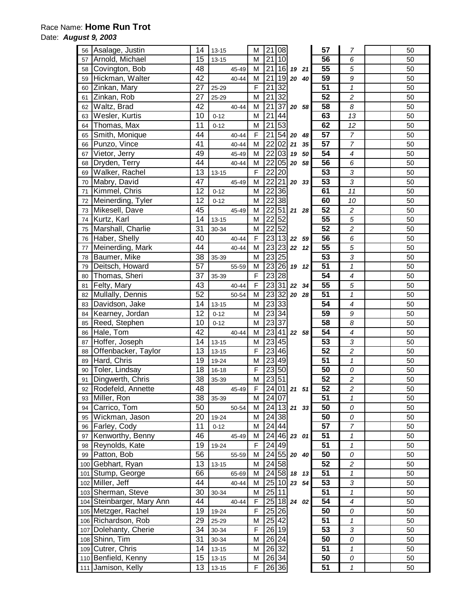## Race Name: **Home Run Trot**

### Date: **August 9, 2003**

| 56 | Asalage, Justin           | 14              | $13 - 15$         | M              | 21              | 08                 |                      |       | 57              | $\overline{7}$           | 50       |
|----|---------------------------|-----------------|-------------------|----------------|-----------------|--------------------|----------------------|-------|-----------------|--------------------------|----------|
| 57 | Arnold, Michael           | 15              | $13 - 15$         | М              | 21              | 10                 |                      |       | 56              | 6                        | 50       |
| 58 | Covington, Bob            | 48              | 45-49             | М              | 21              | 16                 | 19                   | 21    | 55              | 5                        | 50       |
| 59 | Hickman, Walter           |                 | 40-44             | M              | 21              |                    | $19$ 20              | 40    | 59              | 9                        | 50       |
| 60 | Zinkan, Mary              |                 | 25-29             | $\mathsf F$    | 21              | 32                 |                      |       | 51              | $\mathbf{1}$             | 50       |
| 61 | Zinkan, Rob               |                 | 25-29             | M              | $\overline{21}$ | $\overline{32}$    |                      |       | 52              | $\overline{c}$           | 50       |
| 62 | Waltz, Brad               | 27<br>42        | 40-44             | M              | $\overline{21}$ | 37                 | 20 58                |       | 58              | 8                        | 50       |
| 63 | Wesler, Kurtis            | 10              | $0 - 12$          | M              | $\overline{21}$ | 44                 |                      |       | 63              | 13                       | 50       |
| 64 | Thomas, Max               | 11              | $0 - 12$          | M              | $\overline{21}$ | $\overline{53}$    |                      |       | 62              | 12                       | 50       |
| 65 | Smith, Monique            | 44              | 40-44             | $\mathsf F$    | 21              |                    | $54$ 20              | 48    | $\overline{57}$ | $\overline{7}$           | 50       |
| 66 | Punzo, Vince              | 41              | 40-44             | M              | 22              | $\overline{0}$     | 21                   | 35    | 57              | $\overline{7}$           | 50       |
|    | Vietor, Jerry             | 49              | 45-49             | М              | 22              | 03                 | 19                   | 50    | 54              | $\boldsymbol{4}$         | 50       |
| 67 |                           | 44              |                   |                | 22              |                    | 05 20 58             |       | 56              |                          |          |
| 68 | Dryden, Terry             |                 | 40-44             | М              |                 |                    |                      |       | $\overline{53}$ | 6                        | 50       |
| 69 | Walker, Rachel            | 13              | $13 - 15$         | $\mathsf F$    | 22              | 20                 |                      |       |                 | $\overline{3}$           | 50       |
| 70 | Mabry, David              | 47              | 45-49             | M              | 22              | 21                 |                      | 20 33 | 53              | $\overline{3}$           | 50       |
| 71 | Kimmel, Chris             | 12              | $0 - 12$          | М              | 22              | 36                 |                      |       | 61              | 11                       | 50       |
| 72 | Meinerding, Tyler         | 12              | $0 - 12$          | M              | $\overline{22}$ | 38                 |                      |       | 60              | 10                       | 50       |
| 73 | Mikesell, Dave            | 45              | 45-49             | M              | 22              | 51                 | 21 28                |       | 52              | $\overline{c}$           | 50       |
| 74 | Kurtz, Karl               | 14              | $13 - 15$         | M              | $\overline{22}$ | 52                 |                      |       | 55              | 5                        | 50       |
| 75 | Marshall, Charlie         | 31              | 30-34             | M              | $\overline{22}$ | 52                 |                      |       | 52              | $\overline{c}$           | 50       |
| 76 | Haber, Shelly             | 40              | 40-44             | $\mathsf F$    |                 | $23$ 13 $22$       |                      | 59    | $\overline{56}$ | 6                        | 50       |
| 77 | Meinerding, Mark          | 44              | 40-44             | M              |                 | $\sqrt{23}$ 23     | 22 12                |       | $\overline{55}$ | 5                        | 50       |
| 78 | Baumer, Mike              | 38              | 35-39             | M              | 23              | 25                 |                      |       | 53              | 3                        | 50       |
| 79 | Deitsch, Howard           | 57              | 55-59             | М              | 23              | 26                 |                      | 19 12 | $\overline{51}$ | $\mathbf{1}$             | 50       |
| 80 | Thomas, Sheri             | 37              | 35-39             | $\mathsf F$    | $\overline{23}$ | $\overline{28}$    |                      |       | 54              | $\boldsymbol{4}$         | 50       |
| 81 | Felty, Mary               | 43              | 40-44             | $\overline{F}$ |                 | 23 31              | 22                   | 34    | $\overline{55}$ | 5                        | 50       |
| 82 | Mullally, Dennis          | 52              | 50-54             | M              | 23              | 32                 | 20 28                |       | 51              | $\mathbf{1}$             | 50       |
| 83 | Davidson, Jake            | 14              | $13 - 15$         | М              | 23              | 33                 |                      |       | 54              | 4                        | 50       |
| 84 | Kearney, Jordan           | 12              | $0 - 12$          | M              | 23              | 34                 |                      |       | 59              | 9                        | 50       |
| 85 | Reed, Stephen             | 10              | $0 - 12$          | M              |                 | 23 37              |                      |       | 58              | 8                        | 50       |
| 86 | Hale, Tom                 | 42              | 40-44             | M              | 23              |                    | $41$ 22 58           |       | 54              | $\overline{\mathcal{A}}$ | 50       |
| 87 | Hoffer, Joseph            | 14              | $13 - 15$         | М              | 23              | 45                 |                      |       | 53              | 3                        | 50       |
| 88 | Offenbacker, Taylor       | 13              | $13 - 15$         | $\overline{F}$ |                 | $\sqrt{23 46 }$    |                      |       | $\overline{52}$ | $\overline{c}$           | 50       |
| 89 | Hard, Chris               | 19              | 19-24             | M              |                 | 23 49              |                      |       | 51              | $\mathbf{1}$             | 50       |
| 90 | Toler, Lindsay            | 18              | $16 - 18$         | F              |                 | 23 50              |                      |       | 50              | 0                        | 50       |
| 91 | Dingwerth, Chris          | $\overline{38}$ | 35-39             | M              |                 | 23 51              |                      |       | $\overline{52}$ | $\overline{2}$           | 50       |
| 92 | Rodefeld, Annette         | 48              | 45-49             | F              |                 |                    | $24$ 01 21 51        |       | 52              | $\boldsymbol{2}$         | 50       |
| 93 | Miller, Ron               | 38              | 35-39             | М              |                 | 24 07              |                      |       | 51              | 1                        | 50       |
| 94 | Carrico, Tom              | 50              | 50-54             | М              |                 |                    | 24 13 21 33          |       | $\overline{50}$ | 0                        | 50       |
| 95 | Wickman, Jason            | 20              | 19-24             | М              |                 | 24 38              |                      |       | 50              | 0                        | 50       |
|    | Farley, Cody              | 11              |                   |                |                 | 24 44              |                      |       | $\overline{57}$ | $\overline{7}$           |          |
| 96 | Kenworthy, Benny          | 46              | $0 - 12$<br>45-49 | М<br>М         |                 |                    | $\sqrt{24}$ 46 23 01 |       | 51              | $\mathbf{1}$             | 50<br>50 |
| 97 |                           |                 |                   |                |                 |                    |                      |       |                 |                          |          |
| 98 | Reynolds, Kate            | 19              | 19-24             | F              |                 | $\overline{2}$ 49  |                      |       | 51              | 1                        | 50       |
| 99 | Patton, Bob               | 56              | 55-59             | M              |                 |                    | 24 55 20 40          |       | 50              | 0                        | 50       |
|    | 100 Gebhart, Ryan         | 13              | $13 - 15$         | M              |                 | $\overline{24}$ 58 |                      |       | 52              | $\overline{c}$           | 50       |
|    | 101 Stump, George         | 66              | 65-69             | М              |                 | $\sqrt{24}$ 58     |                      | 18 13 | 51              | $\mathbf{1}$             | 50       |
|    | 102 Miller, Jeff          | 44              | 40-44             | М              |                 |                    | 25 10 23 54          |       | 53              | 3                        | 50       |
|    | 103 Sherman, Steve        | 30              | 30-34             | M              |                 | 25 11              |                      |       | 51              | $\overline{1}$           | 50       |
|    | 104 Steinbarger, Mary Ann | 44              | 40-44             | $\mathsf F$    |                 |                    | 25 18 24 02          |       | 54              | $\overline{\mathcal{A}}$ | 50       |
|    | 105 Metzger, Rachel       | 19              | 19-24             | $\mathsf F$    |                 | 25 26              |                      |       | 50              | 0                        | 50       |
|    | 106 Richardson, Rob       | 29              | 25-29             | М              |                 | 25 42              |                      |       | 51              | $\pmb{\mathcal{1}}$      | 50       |
|    | 107 Dolehanty, Cherie     | 34              | 30-34             | F              |                 | 26 19              |                      |       | 53              | 3                        | 50       |
|    | 108 Shinn, Tim            | 31              | 30-34             | М              |                 | $26\overline{24}$  |                      |       | 50              | 0                        | 50       |
|    | 109 Cutrer, Chris         | 14              | $13 - 15$         | М              |                 | 26 32              |                      |       | 51              | 1                        | 50       |
|    | 110 Benfield, Kenny       | 15              | $13 - 15$         | М              |                 | 26 34              |                      |       | 50              | 0                        | 50       |
|    | 111 Jamison, Kelly        | 13              | $13 - 15$         | F              |                 | 26 36              |                      |       | 51              | 1                        | 50       |